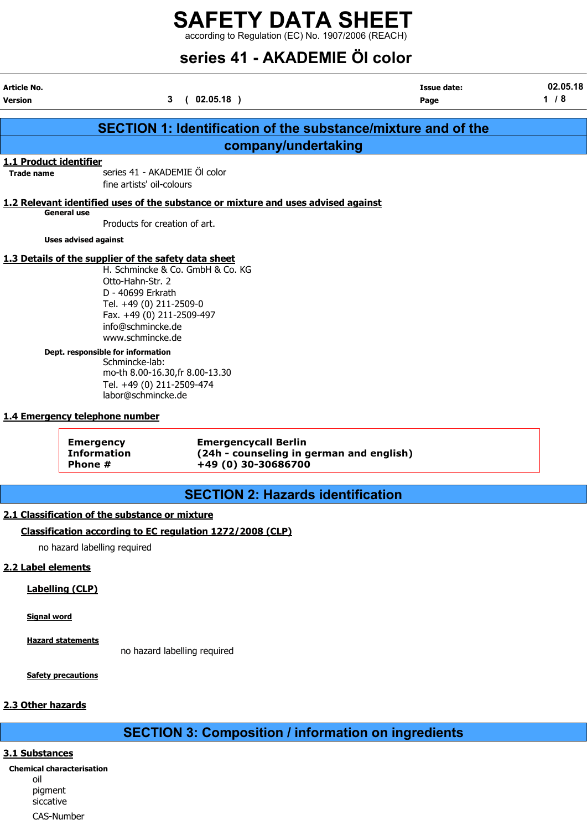# SAFETY DATA SHEET

according to Regulation (EC) No. 1907/2006 (REACH)

# series 41 - AKADEMIE Öl color

| <b>Article No.</b>     |                                                      |                                                                                   | Issue date: | 02.05.18 |
|------------------------|------------------------------------------------------|-----------------------------------------------------------------------------------|-------------|----------|
| <b>Version</b>         | $\mathbf{3}$                                         | (02.05.18)                                                                        | Page        | $1/8$    |
|                        |                                                      |                                                                                   |             |          |
|                        |                                                      | <b>SECTION 1: Identification of the substance/mixture and of the</b>              |             |          |
|                        |                                                      | company/undertaking                                                               |             |          |
| 1.1 Product identifier |                                                      |                                                                                   |             |          |
| <b>Trade name</b>      | series 41 - AKADEMIE Öl color                        |                                                                                   |             |          |
|                        | fine artists' oil-colours                            |                                                                                   |             |          |
|                        |                                                      | 1.2 Relevant identified uses of the substance or mixture and uses advised against |             |          |
|                        | <b>General use</b>                                   |                                                                                   |             |          |
|                        | Products for creation of art.                        |                                                                                   |             |          |
|                        | <b>Uses advised against</b>                          |                                                                                   |             |          |
|                        | 1.3 Details of the supplier of the safety data sheet |                                                                                   |             |          |
|                        |                                                      | H. Schmincke & Co. GmbH & Co. KG                                                  |             |          |
|                        | Otto-Hahn-Str. 2                                     |                                                                                   |             |          |
|                        | D - 40699 Erkrath                                    |                                                                                   |             |          |
|                        | Tel. +49 (0) 211-2509-0                              |                                                                                   |             |          |
|                        | Fax. +49 (0) 211-2509-497                            |                                                                                   |             |          |
|                        | info@schmincke.de                                    |                                                                                   |             |          |
|                        | www.schmincke.de                                     |                                                                                   |             |          |
|                        | Dept. responsible for information                    |                                                                                   |             |          |
|                        | Schmincke-lab:                                       |                                                                                   |             |          |
|                        | mo-th 8.00-16.30, fr 8.00-13.30                      |                                                                                   |             |          |
|                        | Tel. +49 (0) 211-2509-474<br>labor@schmincke.de      |                                                                                   |             |          |
|                        |                                                      |                                                                                   |             |          |
|                        | 1.4 Emergency telephone number                       |                                                                                   |             |          |
|                        | <b>Emergency</b>                                     | <b>Emergencycall Berlin</b>                                                       |             |          |
|                        | <b>Information</b>                                   | (24h - counseling in german and english)                                          |             |          |
|                        | Phone #                                              | +49 (0) 30-30686700                                                               |             |          |

# SECTION 2: Hazards identification

## 2.1 Classification of the substance or mixture

### Classification according to EC regulation 1272/2008 (CLP)

no hazard labelling required

### 2.2 Label elements

### Labelling (CLP)

Signal word

Hazard statements

no hazard labelling required

**Safety precautions** 

### 2.3 Other hazards

# SECTION 3: Composition / information on ingredients

### 3.1 Substances

Chemical characterisation oil pigment siccative CAS-Number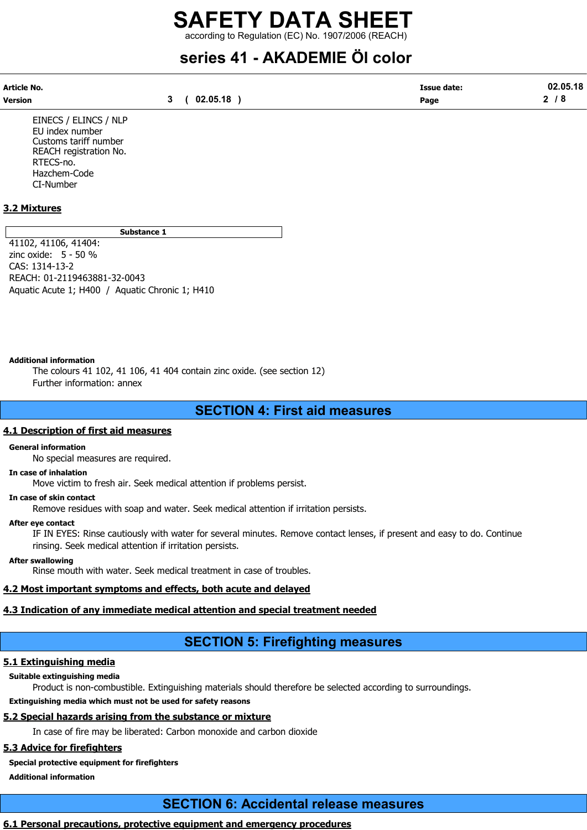# series 41 - AKADEMIE Öl color

| Article No. |              | <b>Issue date:</b> | 02.05.18 |
|-------------|--------------|--------------------|----------|
| Version     | 3 ( 02.05.18 | Page               | 2/8      |

EINECS / ELINCS / NLP EU index number Customs tariff number REACH registration No. RTECS-no. Hazchem-Code CI-Number

### 3.2 Mixtures

Substance 1

41102, 41106, 41404: zinc oxide: 5 - 50 % CAS: 1314-13-2 REACH: 01-2119463881-32-0043 Aquatic Acute 1; H400 / Aquatic Chronic 1; H410

### Additional information

The colours 41 102, 41 106, 41 404 contain zinc oxide. (see section 12) Further information: annex

## SECTION 4: First aid measures

### 4.1 Description of first aid measures

### General information

No special measures are required.

### In case of inhalation

Move victim to fresh air. Seek medical attention if problems persist.

### In case of skin contact

Remove residues with soap and water. Seek medical attention if irritation persists.

### After eye contact

IF IN EYES: Rinse cautiously with water for several minutes. Remove contact lenses, if present and easy to do. Continue rinsing. Seek medical attention if irritation persists.

### After swallowing

Rinse mouth with water. Seek medical treatment in case of troubles.

### 4.2 Most important symptoms and effects, both acute and delayed

### 4.3 Indication of any immediate medical attention and special treatment needed

# SECTION 5: Firefighting measures

### 5.1 Extinguishing media

### Suitable extinguishing media

Product is non-combustible. Extinguishing materials should therefore be selected according to surroundings.

### Extinguishing media which must not be used for safety reasons

### 5.2 Special hazards arising from the substance or mixture

In case of fire may be liberated: Carbon monoxide and carbon dioxide

# 5.3 Advice for firefighters

# Special protective equipment for firefighters

Additional information

# SECTION 6: Accidental release measures

### 6.1 Personal precautions, protective equipment and emergency procedures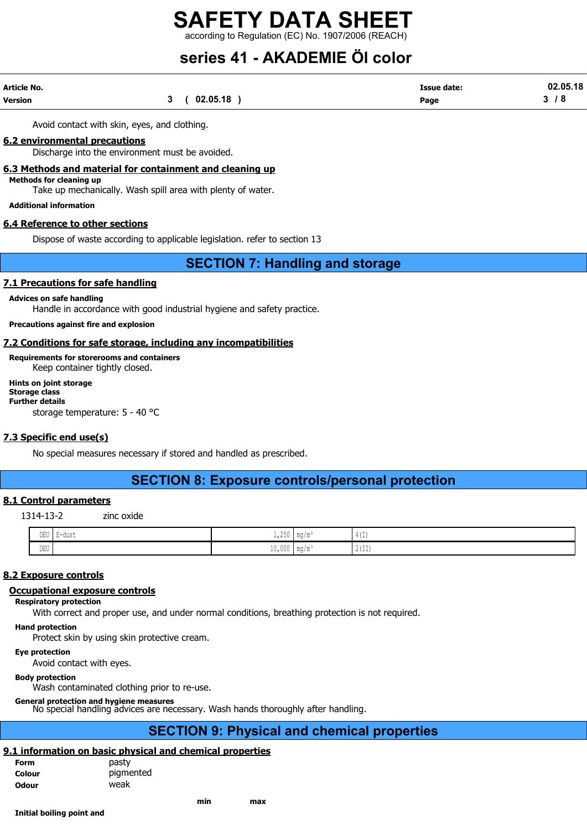# series 41 - AKADEMIE Öl color

| Article No. |          | <b>Issue date:</b><br>. | 02.05.18 |
|-------------|----------|-------------------------|----------|
| Version     | 02.05.18 | Page                    |          |

Avoid contact with skin, eyes, and clothing.

### 6.2 environmental precautions

Discharge into the environment must be avoided.

### 6.3 Methods and material for containment and cleaning up

Methods for cleaning up

Take up mechanically. Wash spill area with plenty of water.

Additional information

### 6.4 Reference to other sections

Dispose of waste according to applicable legislation. refer to section 13

# SECTION 7: Handling and storage

### 7.1 Precautions for safe handling

### Advices on safe handling

Handle in accordance with good industrial hygiene and safety practice.

### Precautions against fire and explosion

### 7.2 Conditions for safe storage, including any incompatibilities

Requirements for storerooms and containers Keep container tightly closed.

### Hints on joint storage Storage class Further details

storage temperature: 5 - 40 °C

### 7.3 Specific end use(s)

No special measures necessary if stored and handled as prescribed.

### SECTION 8: Exposure controls/personal protection

### 8.1 Control parameters

1314-13-2 zinc oxide

| DEU<br>$\sim$               | ' E-dust<br>. | $\wedge$ $\wedge$<br>7 <sup>1</sup><br>$+1$ $  -$ | $m \sim l m$<br>$\mathsf{I}$ illy / ill | $\frac{1}{2}$<br>- 14             |
|-----------------------------|---------------|---------------------------------------------------|-----------------------------------------|-----------------------------------|
| $\mathop{\rm DEU}\nolimits$ |               | $\sim$ $\sim$ $\sim$<br>-<br>10,000               | $m \sim l m$                            | $\wedge$ $\rightarrow$<br>- 1 - 1 |

### 8.2 Exposure controls

### Occupational exposure controls

### Respiratory protection

With correct and proper use, and under normal conditions, breathing protection is not required.

Hand protection

Protect skin by using skin protective cream.

### Eye protection

Avoid contact with eyes.

### Body protection

Wash contaminated clothing prior to re-use.

### General protection and hygiene measures

No special handling advices are necessary. Wash hands thoroughly after handling.

# SECTION 9: Physical and chemical properties

### 9.1 information on basic physical and chemical properties

| Form         | pasty     |
|--------------|-----------|
| Colour       | pigmented |
| <b>Odour</b> | weak      |
|              |           |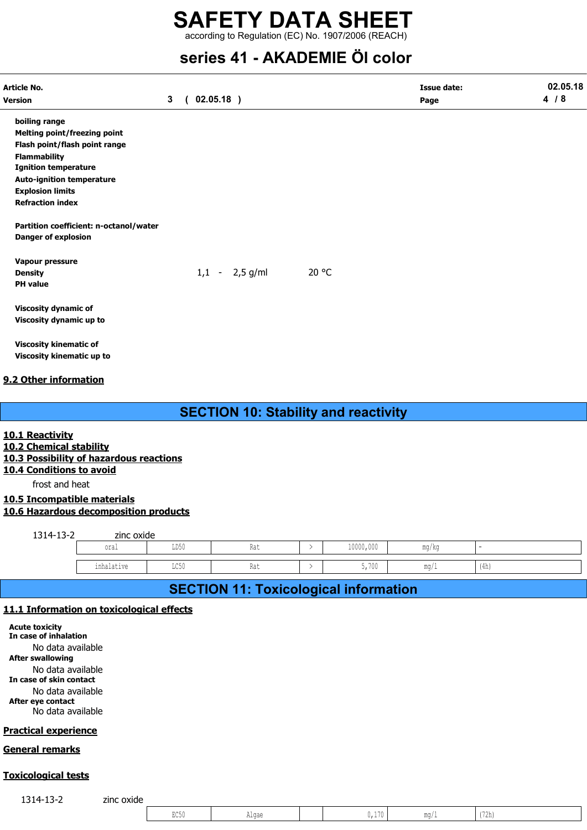# series 41 - AKADEMIE Öl color

| Article No.<br>Version                                                                                                                                                                                                                                                          | $\mathbf{3}$ | $\left($ | $02.05.18$ )     |                                             | <b>Issue date:</b><br>Page | 02.05.18<br>4/8 |
|---------------------------------------------------------------------------------------------------------------------------------------------------------------------------------------------------------------------------------------------------------------------------------|--------------|----------|------------------|---------------------------------------------|----------------------------|-----------------|
| boiling range<br><b>Melting point/freezing point</b><br>Flash point/flash point range<br><b>Flammability</b><br><b>Ignition temperature</b><br><b>Auto-ignition temperature</b><br><b>Explosion limits</b><br><b>Refraction index</b><br>Partition coefficient: n-octanol/water |              |          |                  |                                             |                            |                 |
| <b>Danger of explosion</b><br>Vapour pressure<br><b>Density</b><br><b>PH</b> value                                                                                                                                                                                              |              |          | $1,1 - 2,5$ g/ml | 20 °C                                       |                            |                 |
| <b>Viscosity dynamic of</b><br>Viscosity dynamic up to                                                                                                                                                                                                                          |              |          |                  |                                             |                            |                 |
| <b>Viscosity kinematic of</b><br>Viscosity kinematic up to                                                                                                                                                                                                                      |              |          |                  |                                             |                            |                 |
| 9.2 Other information                                                                                                                                                                                                                                                           |              |          |                  |                                             |                            |                 |
|                                                                                                                                                                                                                                                                                 |              |          |                  | <b>SECTION 10: Stability and reactivity</b> |                            |                 |
| 10.1 Reactivity<br>10.2 Chemical stability<br>10.3 Possibility of hazardous reactions<br>10.4 Conditions to avoid<br>frost and heat                                                                                                                                             |              |          |                  |                                             |                            |                 |

10.5 Incompatible materials 10.6 Hazardous decomposition products

| 1314-13-2 | zinc oxide |      |     |           |       |      |
|-----------|------------|------|-----|-----------|-------|------|
|           | oral       | LD50 | Rat | 10000,000 | mg/kg |      |
|           |            |      |     |           |       |      |
|           | inhalative | LC50 | Rat | 5,700     | mq/1  | (4h) |

# SECTION 11: Toxicological information

### 11.1 Information on toxicological effects

Acute toxicity In case of inhalation No data available After swallowing No data available In case of skin contact No data available After eye contact

No data available

### Practical experience

### General remarks

### Toxicological tests

1314-13-2 zinc oxide

| $T \cap \Gamma$<br>ו ששוב | ⊥Udt | $\sim$ $ \sim$<br>. . | $m \alpha$<br><b>ALLAND</b> | $1 - \Delta$<br>1211 |  |
|---------------------------|------|-----------------------|-----------------------------|----------------------|--|
|                           |      |                       |                             |                      |  |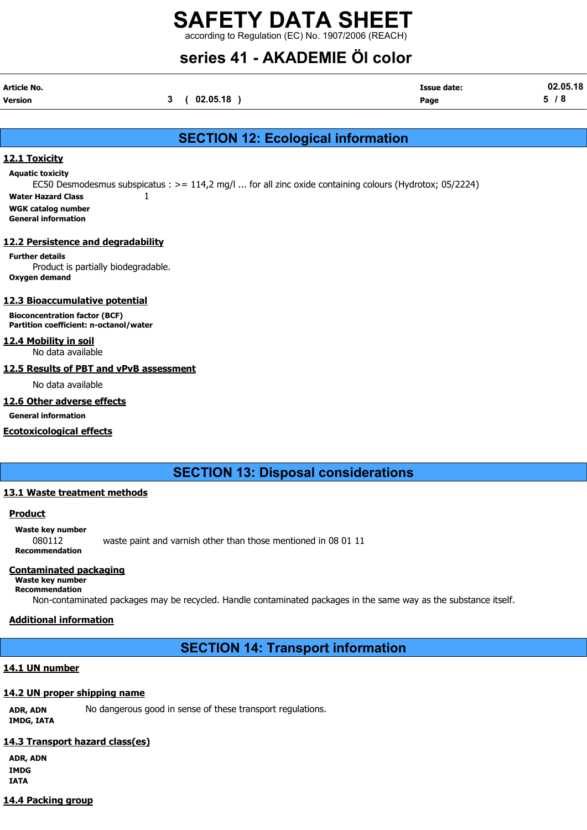# SAFETY DATA SHEET

according to Regulation (EC) No. 1907/2006 (REACH)

# series 41 - AKADEMIE Öl color

| Article No. |              | <b>Issue date:</b> | 02.05.18 |
|-------------|--------------|--------------------|----------|
| Version     | 3 ( 02.05.18 | Page               | 5/8      |

# SECTION 12: Ecological information

### 12.1 Toxicity

Aquatic toxicity

EC50 Desmodesmus subspicatus : >= 114,2 mg/l ... for all zinc oxide containing colours (Hydrotox; 05/2224) Water Hazard Class  $1$ 

- WGK catalog number
- General information

### 12.2 Persistence and degradability

Further details Product is partially biodegradable. Oxygen demand

### 12.3 Bioaccumulative potential

Bioconcentration factor (BCF) Partition coefficient: n-octanol/water

### 12.4 Mobility in soil

No data available

### 12.5 Results of PBT and vPvB assessment

No data available

### 12.6 Other adverse effects

General information

### Ecotoxicological effects

# SECTION 13: Disposal considerations

### 13.1 Waste treatment methods

### **Product**

### Waste key number

080112 waste paint and varnish other than those mentioned in 08 01 11 Recommendation

### Contaminated packaging

Waste key number Recommendation

Non-contaminated packages may be recycled. Handle contaminated packages in the same way as the substance itself.

### Additional information

# SECTION 14: Transport information

### 14.1 UN number

### 14.2 UN proper shipping name

ADR, ADN No dangerous good in sense of these transport regulations. IMDG, IATA

### 14.3 Transport hazard class(es)

ADR, ADN IMDG IATA

### 14.4 Packing group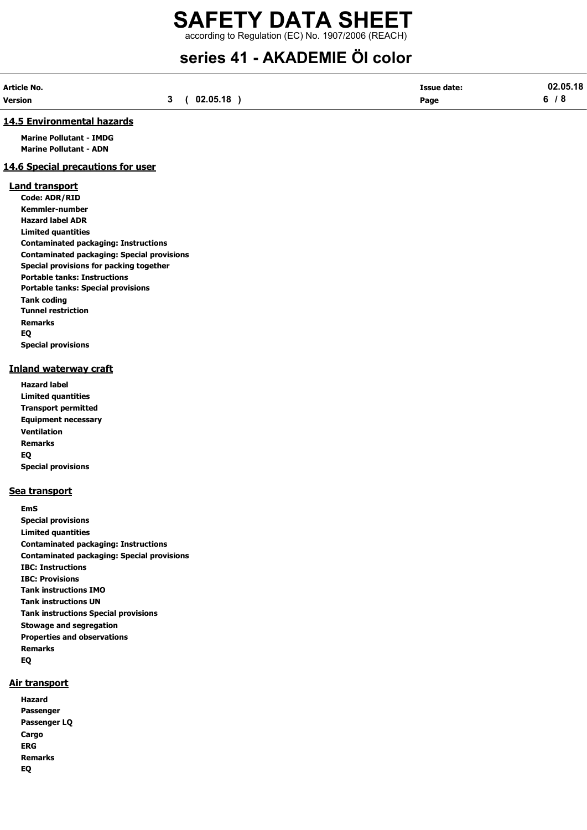# series 41 - AKADEMIE Öl color

| Article No. |          | <b>Issue date:</b> | 02.05.18 |
|-------------|----------|--------------------|----------|
| Version     | 02.05.18 | Page               |          |

### 14.5 Environmental hazards

Marine Pollutant - IMDG Marine Pollutant - ADN

### 14.6 Special precautions for user

### Land transport

Code: ADR/RID Kemmler-number Hazard label ADR Limited quantities Contaminated packaging: Instructions Contaminated packaging: Special provisions Special provisions for packing together Portable tanks: Instructions Portable tanks: Special provisions Tank coding Tunnel restriction Remarks EQ Special provisions

### Inland waterway craft

Hazard label Limited quantities Transport permitted Equipment necessary Ventilation Remarks EQ Special provisions

### Sea transport

EmS Special provisions Limited quantities Contaminated packaging: Instructions Contaminated packaging: Special provisions IBC: Instructions IBC: Provisions Tank instructions IMO Tank instructions UN Tank instructions Special provisions Stowage and segregation Properties and observations Remarks EQ

### Air transport

Hazard Passenger Passenger LQ **Cargo** ERG Remarks EQ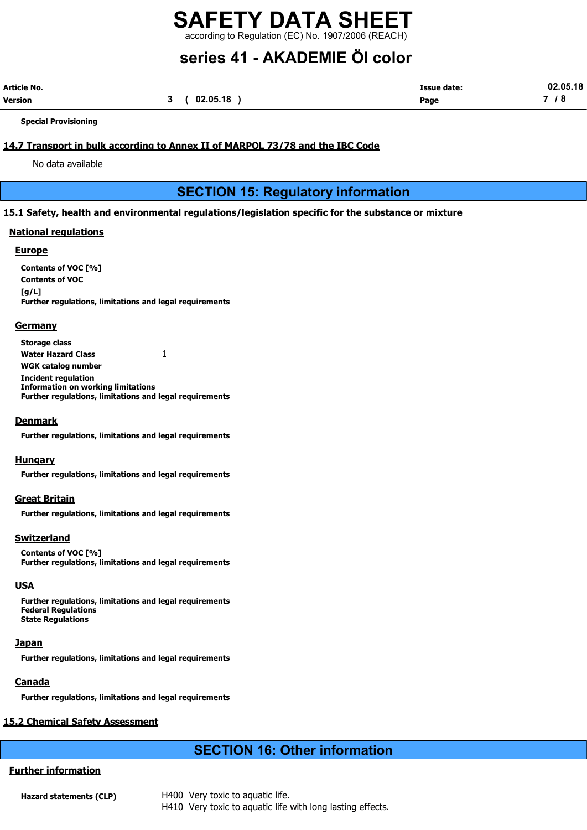# series 41 - AKADEMIE Öl color

| Article No. |          | <b>Issue date:</b> | 02.05.18 |
|-------------|----------|--------------------|----------|
| Version     | 02.05.18 | Page               |          |

Special Provisioning

### 14.7 Transport in bulk according to Annex II of MARPOL 73/78 and the IBC Code

No data available

# SECTION 15: Regulatory information

### 15.1 Safety, health and environmental regulations/legislation specific for the substance or mixture

### National regulations

### **Europe**

Contents of VOC [%] Contents of VOC  $[a/L]$ Further regulations, limitations and legal requirements

### **Germany**

Storage class Water Hazard Class 1 WGK catalog number Incident regulation Information on working limitations Further regulations, limitations and legal requirements

### Denmark

Further regulations, limitations and legal requirements

### **Hungary**

Further regulations, limitations and legal requirements

### Great Britain

Further regulations, limitations and legal requirements

### Switzerland

Contents of VOC [%] Further regulations, limitations and legal requirements

### **USA**

Further regulations, limitations and legal requirements Federal Regulations State Regulations

### **Japan**

Further regulations, limitations and legal requirements

### **Canada**

Further regulations, limitations and legal requirements

### 15.2 Chemical Safety Assessment

# SECTION 16: Other information

## Further information

Hazard statements (CLP) H400 Very toxic to aquatic life. H410 Very toxic to aquatic life with long lasting effects.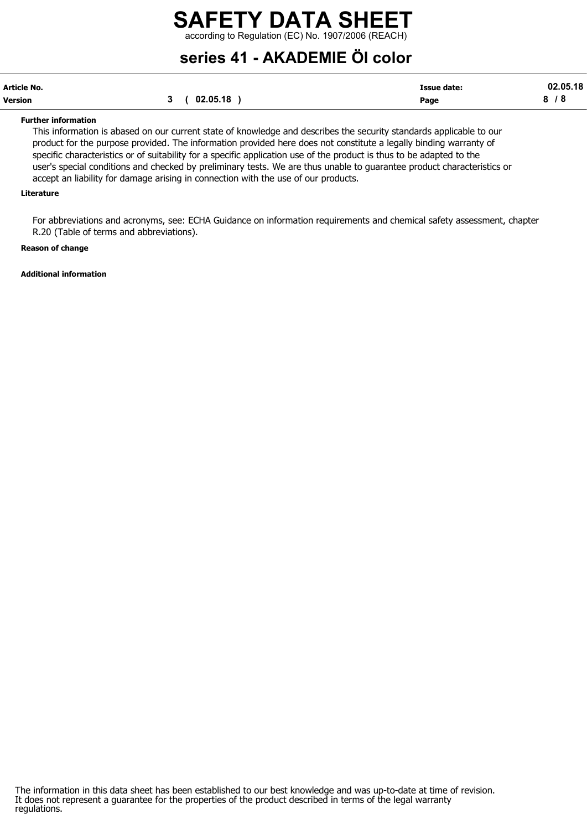series 41 - AKADEMIE Öl color

| Article No. |          | <b>Issue date:</b> | 02.05.18 |
|-------------|----------|--------------------|----------|
| Version     | 02.05.18 | Page               |          |

### Further information

This information is abased on our current state of knowledge and describes the security standards applicable to our product for the purpose provided. The information provided here does not constitute a legally binding warranty of specific characteristics or of suitability for a specific application use of the product is thus to be adapted to the user's special conditions and checked by preliminary tests. We are thus unable to guarantee product characteristics or accept an liability for damage arising in connection with the use of our products.

### Literature

For abbreviations and acronyms, see: ECHA Guidance on information requirements and chemical safety assessment, chapter R.20 (Table of terms and abbreviations).

### Reason of change

Additional information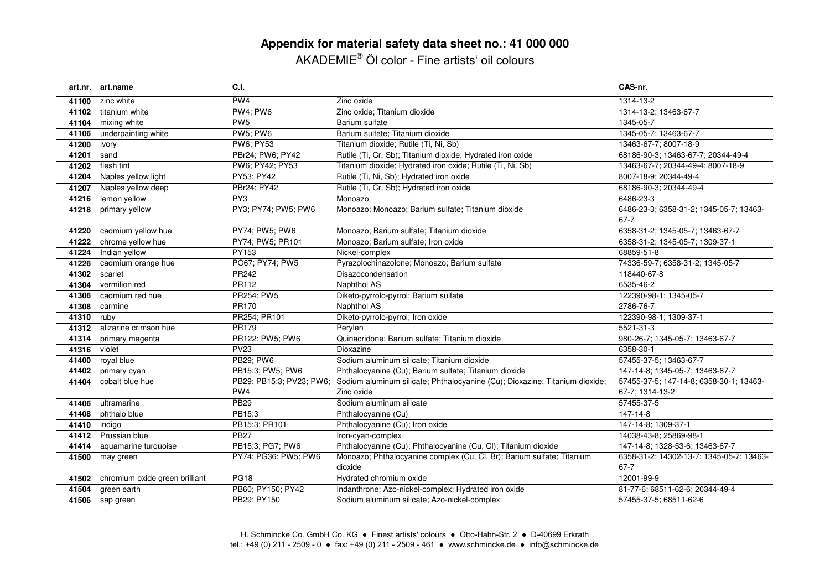# **Appendix for material safety data sheet no.: 41 000 000** AKADEMIE® Öl color - Fine artists' oil colours

|       | art.nr. art.name               | C.I.                      |                                                                                                      | CAS-nr.                                  |
|-------|--------------------------------|---------------------------|------------------------------------------------------------------------------------------------------|------------------------------------------|
| 41100 | zinc white                     | PW <sub>4</sub>           | Zinc oxide                                                                                           | 1314-13-2                                |
| 41102 | titanium white                 | <b>PW4; PW6</b>           | Zinc oxide; Titanium dioxide                                                                         | 1314-13-2; 13463-67-7                    |
| 41104 | mixing white                   | PW <sub>5</sub>           | Barium sulfate                                                                                       | 1345-05-7                                |
| 41106 | underpainting white            | <b>PW5; PW6</b>           | Barium sulfate; Titanium dioxide                                                                     | 1345-05-7; 13463-67-7                    |
| 41200 | ivory                          | PW6; PY53                 | Titanium dioxide; Rutile (Ti, Ni, Sb)                                                                | 13463-67-7; 8007-18-9                    |
| 41201 | sand                           | PBr24; PW6; PY42          | Rutile (Ti, Cr, Sb); Titanium dioxide; Hydrated iron oxide                                           | 68186-90-3; 13463-67-7; 20344-49-4       |
| 41202 | flesh tint                     | PW6; PY42; PY53           | Titanium dioxide; Hydrated iron oxide; Rutile (Ti, Ni, Sb)                                           | 13463-67-7; 20344-49-4; 8007-18-9        |
| 41204 | Naples yellow light            | PY53; PY42                | Rutile (Ti, Ni, Sb); Hydrated iron oxide                                                             | 8007-18-9; 20344-49-4                    |
| 41207 | Naples yellow deep             | PBr24; PY42               | Rutile (Ti, Cr, Sb); Hydrated iron oxide                                                             | 68186-90-3; 20344-49-4                   |
| 41216 | lemon yellow                   | PY3                       | Monoazo                                                                                              | 6486-23-3                                |
| 41218 | primary yellow                 | PY3; PY74; PW5; PW6       | Monoazo; Monoazo; Barium sulfate; Titanium dioxide                                                   | 6486-23-3; 6358-31-2; 1345-05-7; 13463-  |
|       |                                |                           |                                                                                                      | 67-7                                     |
| 41220 | cadmium yellow hue             | PY74; PW5; PW6            | Monoazo; Barium sulfate; Titanium dioxide                                                            | 6358-31-2; 1345-05-7; 13463-67-7         |
| 41222 | chrome yellow hue              | PY74; PW5; PR101          | Monoazo; Barium sulfate; Iron oxide                                                                  | 6358-31-2; 1345-05-7; 1309-37-1          |
| 41224 | Indian yellow                  | PY153                     | Nickel-complex                                                                                       | 68859-51-8                               |
| 41226 | cadmium orange hue             | PO67; PY74; PW5           | Pyrazolochinazolone; Monoazo; Barium sulfate                                                         | 74336-59-7; 6358-31-2; 1345-05-7         |
| 41302 | scarlet                        | PR242                     | Disazocondensation                                                                                   | 118440-67-8                              |
| 41304 | vermilion red                  | PR112                     | Naphthol AS                                                                                          | 6535-46-2                                |
| 41306 | cadmium red hue                | PR254; PW5                | Diketo-pyrrolo-pyrrol; Barium sulfate                                                                | 122390-98-1; 1345-05-7                   |
| 41308 | carmine                        | PR170                     | Naphthol AS                                                                                          | 2786-76-7                                |
| 41310 | ruby                           | PR254; PR101              | Diketo-pyrrolo-pyrrol; Iron oxide                                                                    | 122390-98-1; 1309-37-1                   |
| 41312 | alizarine crimson hue          | PR179                     | Perylen                                                                                              | 5521-31-3                                |
| 41314 | primary magenta                | PR122; PW5; PW6           | Quinacridone; Barium sulfate; Titanium dioxide                                                       | 980-26-7; 1345-05-7; 13463-67-7          |
| 41316 | violet                         | $\overline{\text{PV}}$ 23 | Dioxazine                                                                                            | 6358-30-1                                |
| 41400 | royal blue                     | PB29; PW6                 | Sodium aluminum silicate; Titanium dioxide                                                           | 57455-37-5; 13463-67-7                   |
| 41402 | primary cyan                   | PB15:3; PW5; PW6          | Phthalocyanine (Cu); Barium sulfate; Titanium dioxide                                                | 147-14-8; 1345-05-7; 13463-67-7          |
| 41404 | cobalt blue hue                |                           | PB29; PB15:3; PV23; PW6; Sodium aluminum silicate; Phthalocyanine (Cu); Dioxazine; Titanium dioxide; | 57455-37-5; 147-14-8; 6358-30-1; 13463-  |
|       |                                | PW <sub>4</sub>           | Zinc oxide                                                                                           | 67-7; 1314-13-2                          |
| 41406 | ultramarine                    | <b>PB29</b>               | Sodium aluminum silicate                                                                             | 57455-37-5                               |
| 41408 | phthalo blue                   | PB15:3                    | Phthalocyanine (Cu)                                                                                  | 147-14-8                                 |
| 41410 | indigo                         | PB15:3; PR101             | Phthalocyanine (Cu); Iron oxide                                                                      | 147-14-8; 1309-37-1                      |
| 41412 | Prussian blue                  | <b>PB27</b>               | Iron-cyan-complex                                                                                    | 14038-43-8; 25869-98-1                   |
| 41414 | aquamarine turquoise           | PB15:3; PG7; PW6          | Phthalocyanine (Cu); Phthalocyanine (Cu, Cl); Titanium dioxide                                       | 147-14-8; 1328-53-6; 13463-67-7          |
| 41500 | may green                      | PY74; PG36; PW5; PW6      | Monoazo; Phthalocyanine complex (Cu, Cl, Br); Barium sulfate; Titanium                               | 6358-31-2; 14302-13-7; 1345-05-7; 13463- |
|       |                                |                           | dioxide                                                                                              | $67 - 7$                                 |
| 41502 | chromium oxide green brilliant | PG18                      | Hydrated chromium oxide                                                                              | 12001-99-9                               |
| 41504 | green earth                    | PB60; PY150; PY42         | Indanthrone; Azo-nickel-complex; Hydrated iron oxide                                                 | 81-77-6; 68511-62-6; 20344-49-4          |
|       | 41506 sap green                | PB29; PY150               | Sodium aluminum silicate; Azo-nickel-complex                                                         | 57455-37-5; 68511-62-6                   |